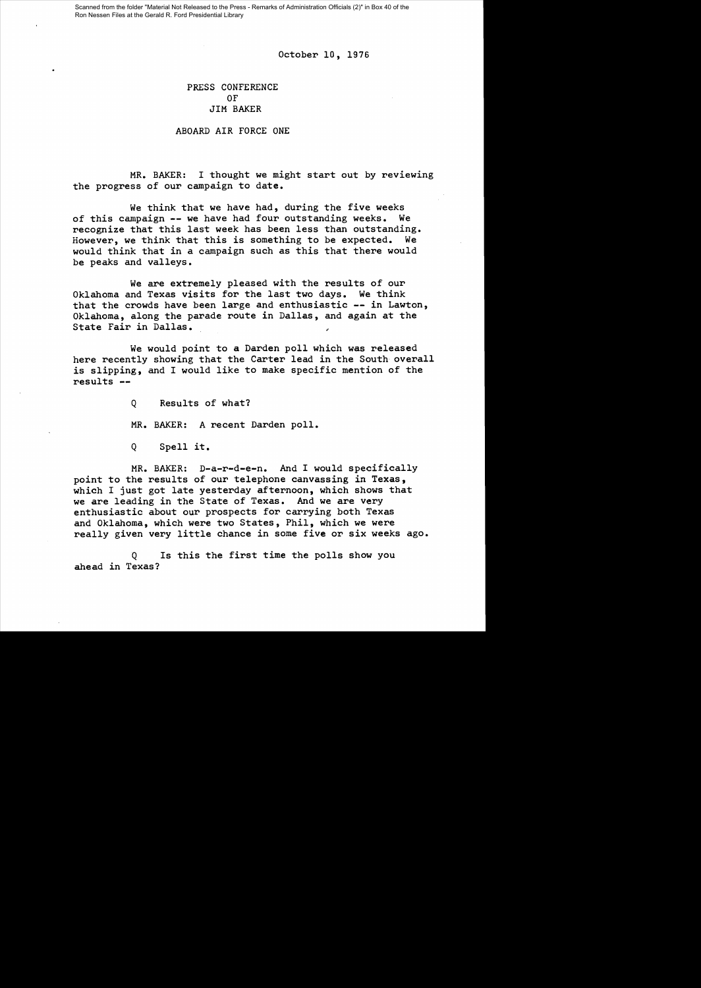Scanned from the folder "Material Not Released to the Press - Remarks of Administration Officials (2)" in Box 40 of the Ron Nessen Files at the Gerald R. Ford Presidential Library

October 10, 1976

## PRESS CONFERENCE OF JIM BAKER

## ABOARD AIR FORCE ONE

MR. BAKER: I thought we might start out by reviewing the progress of our campaign to date.

We think that we have had, during the five weeks of this campaign **--** we have had four outstanding weeks. We recognize that this last week has been less than outstanding. However, we think that this is something to be expected. We would think that in a campaign such as this that there would be peaks and valleys.

We are extremely pleased with the results of our Oklahoma and Texas visits for the last two days. We think that the crowds have been large and enthusiastic **--** in Lawton, Oklahoma, along the parade route in Dallas, and again at the State Fair in Dallas.

We would point to a Darden poll which was released here recently showing that the Carter lead in the South overall is slipping, and I would like to make specific mention of the results

> Q Results of what? MR. BAKER: A recent Darden poll.

Q Spell it.

MR. BAKER: D-a-r-d-e-n. And I would specifically point to the results of our telephone canvassing in Texas, which I just got late yesterday afternoon, which shows that we are leading in the State of Texas. And we are very enthusiastic about our prospects for carrying both Texas and Oklahoma, which were two States, Phil, which we were really given very little chance in some five or six weeks ago.

Q Is this the first time the polls show you ahead in Texas?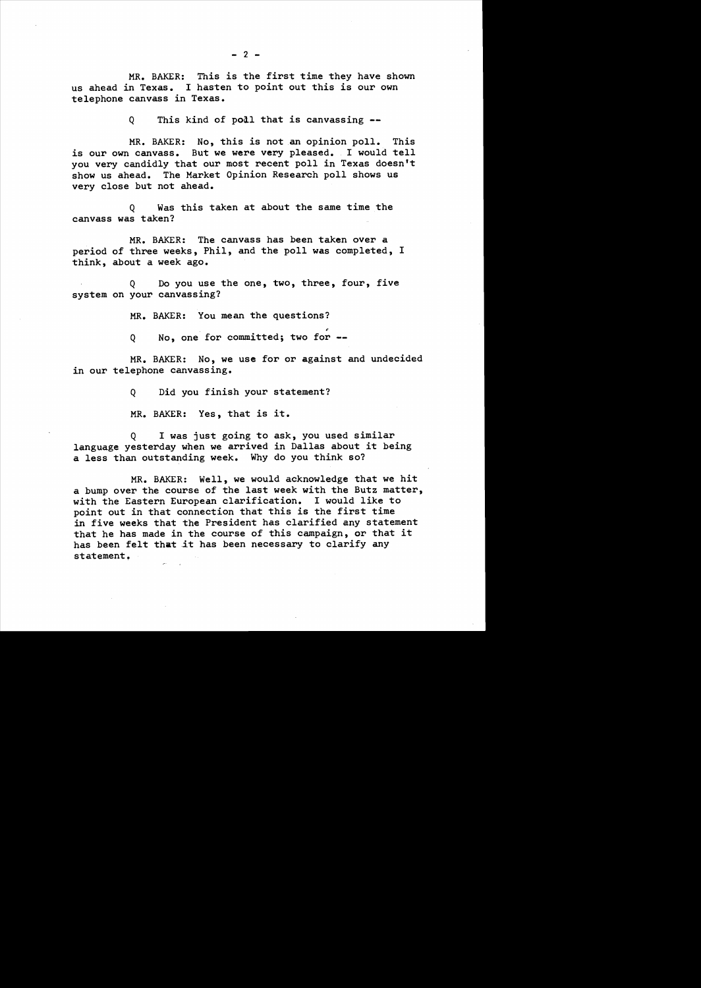MR. BAKER: This is the first time they have shown us ahead in Texas. I hasten to point out this is our own telephone canvass in Texas.

Q This kind of poll that is canvassing

MR. BAKER: No, this is not an opinion poll. This is our own canvass. But we were very pleased. I would tell you very candidly that our most recent poll in Texas doesn't show us ahead. The Market Opinion Research poll shows us very close but not ahead.

Q Was this taken at about the same time the canvass was taken?

MR. BAKER: The canvass has been taken over a period of three weeks, Phil, and the poll was completed, I think, about a week ago.

Q Do you use the one, two, three, four, five system on your canvassing?

MR. BAKER: You mean the questions?

Q No, one for committed; two for --

MR. BAKER: No, we use for or against and undecided in our telephone canvassing.

Q Did you finish your statement?

MR. BAKER: Yes, that is it.

Q I was just going to ask, you used similar language yesterday when we arrived in Dallas about it being a less than outstanding week. Why do you think so?

MR. BAKER: Well, we would acknowledge that we hit a bump over the course of the last week with the Butz matter, with the Eastern European clarification. I would like to point out in that connection that this is the first time in five weeks that the President has clarified any statement that he has made in the course of this campaign, or that it has been felt that it has been necessary to clarify any statement,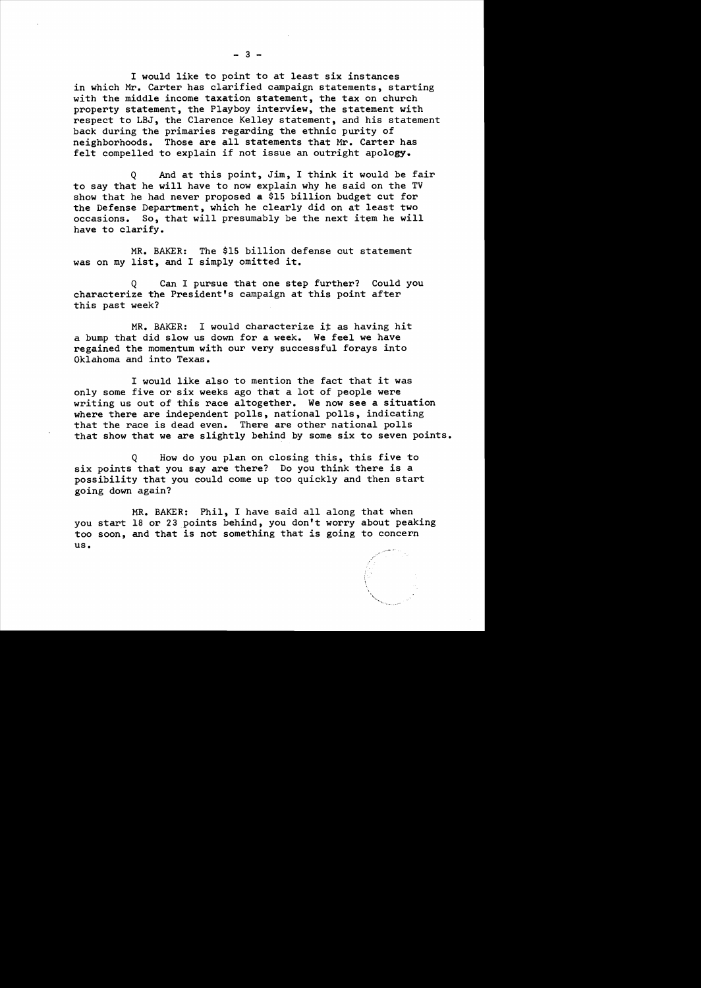$- 3 -$ 

I would like to point to at least six instances in which Mr. Carter has clarified campaign statements, starting with the middle income taxation statement, the tax on church property statement, the Playboy interview, the statement with respect to LBJ, the Clarence Kelley statement, and his statement back during the primaries regarding the ethnic purity of neighborhoods. Those are all statements that Mr. Carter has felt compelled to explain if not issue an outright apology.

Q And at this point, Jim, I think it would be fair to say that he will have to now explain why he said on the TV show that he had never proposed a \$15 billion budget cut for the Defense Department, which he clearly did on at least two occasions. So, that will presumably be the next item he will have to clarify.

MR. BAKER: The \$15 billion defense cut statement was on my list, and I simply omitted it.

Q Can I pursue that one step further? Could you characterize the President's campaign at this point after this past week?

MR. BAKER: I would characterize it as having hit a bump that did slow us down for a week. We feel we have regained the momentum with our very successful forays into Oklahoma and into Texas.

<sup>I</sup>would like also to mention the fact that it was only some five or six weeks ago that a lot of people were writing us out of this race altogether. We now see a situation where there are independent polls, national polls, indicating that the race is dead even. There are other national polls that show that we are slightly behind by some six to seven points.

Q How do you plan on closing this, this five to six points that you say are there? Do you think there is a possibility that you could come up too quickly and then start going down again?

MR. BAKER: Phil, I have said all along that when you start 18 or 23 points behind, you don't worry about peaking too soon, and that is not something that is going to concern us.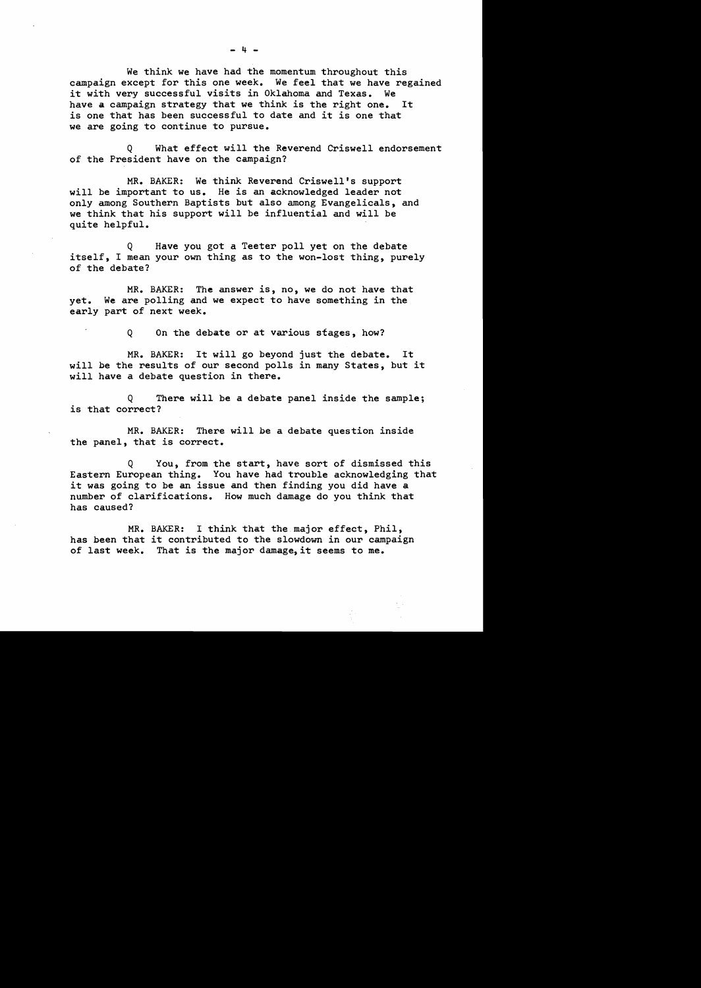We think we have had the momentum throughout this campaign except for this one week. We feel that we have regained it with very successful visits in Oklahoma and Texas. We have a campaign strategy that we think is the right one. It is one that has been successful to date and it is one that we are going to continue to pursue.

Q What effect will the Reverend Criswell endorsement of the President have on the campaign?

MR. BAKER: We think Reverend Criswell's support will be important to us. He is an acknowledged leader not only among Southern Baptists but also among Evangelicals, and we think that his support will be influential and will be quite helpful.

Q Have you got a Teeter poll yet on the debate itself, I mean your own thing as to the won-lost thing, purely of the debate?

MR. BAKER: The answer is, no, we do not have that yet. We are polling and we expect to have something in the early part of next week.

Q On the debate or at various stages, how?

MR. BAKER: It will go beyond just the debate. It will be the results of our second polls in many States, but it will have a debate question in there.

Q There will be a debate panel inside the sample; is that correct?

MR. BAKER: There will be a debate question inside the panel, that is correct.

Q You, from the start, have sort of dismissed this Eastern European thing. You have had trouble acknowledging that it was going to be an issue and then finding you did have a number of clarifications. How much damage do you think that has caused?

MR. BAKER: I think that the major effect, Phil, has been that it contributed to the slowdown in our campaign of last week. That is the major damage,it seems to me.

- 4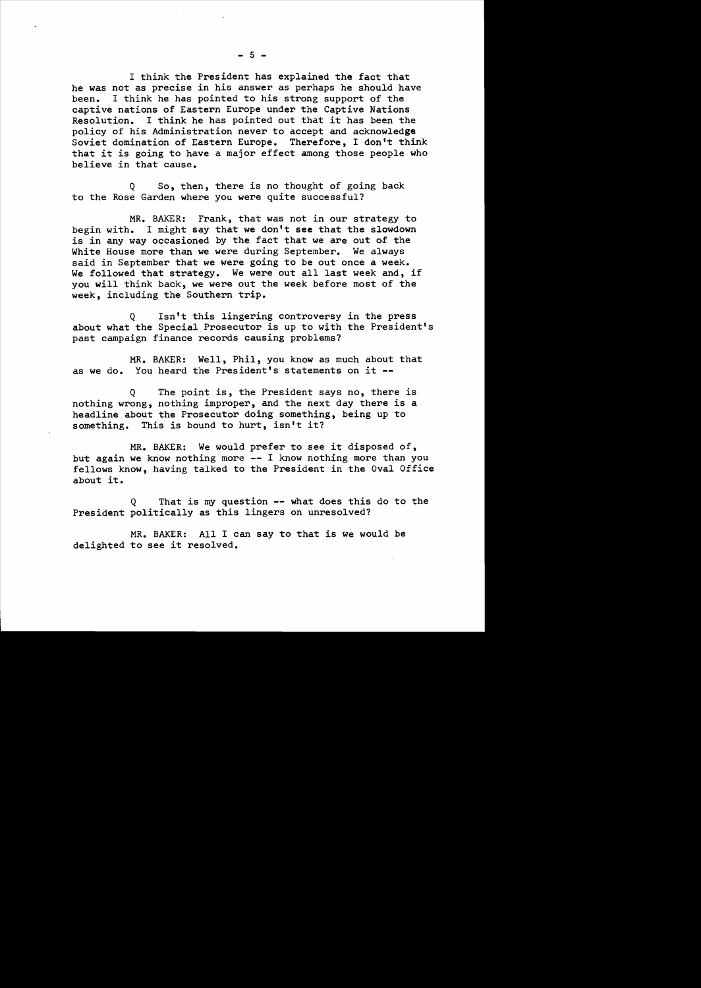I think the President has explained the fact that he was not as precise in his answer as perhaps he should have been. I think he has pointed to his strong support of the captive nations of Eastern Europe under the Captive Nations Resolution. I think he has pointed out that it has been the policy of his Administration never to accept and acknowledge Soviet domination of Eastern Europe. Therefore, I don't think that it is going to have a major effect among those people who believe in that cause.

Q So, then, there is no thought of going back to the Rose Garden where you were quite successful?

MR. BAKER: Frank, that was not in our strategy to begin with. I might say that we don't see that the slowdown is in any way occasioned by the fact that we are out of the White House more than we were during September. We always said in September that we were going to be out once a week. We followed that strategy. We were out all last week and, if you will think back, we were out the week before most of the week, including the Southern trip.

Q Isn't this lingering controversy in the press about what the Special Prosecutor is up to with the President's past campaign finance records causing problems?

MR. BAKER: Well, Phil, you know as much about that as we do. You heard the President's statements on it **-**

Q The point is, the President says no, there is nothing wrong, nothing improper, and the next day there is a headline about the Prosecutor doing something, being up to something. This is bound to hurt, isn't it?

MR. BAKER: We would prefer to see it disposed of, but again we know nothing more **--** I know nothing more than you fellows know, having talked to the President in the Oval Office about it.

Q That is my question **--** what does this do to the President politically as this lingers on unresolved?

MR. BAKER: All I can say to that is we would be delighted to see it resolved.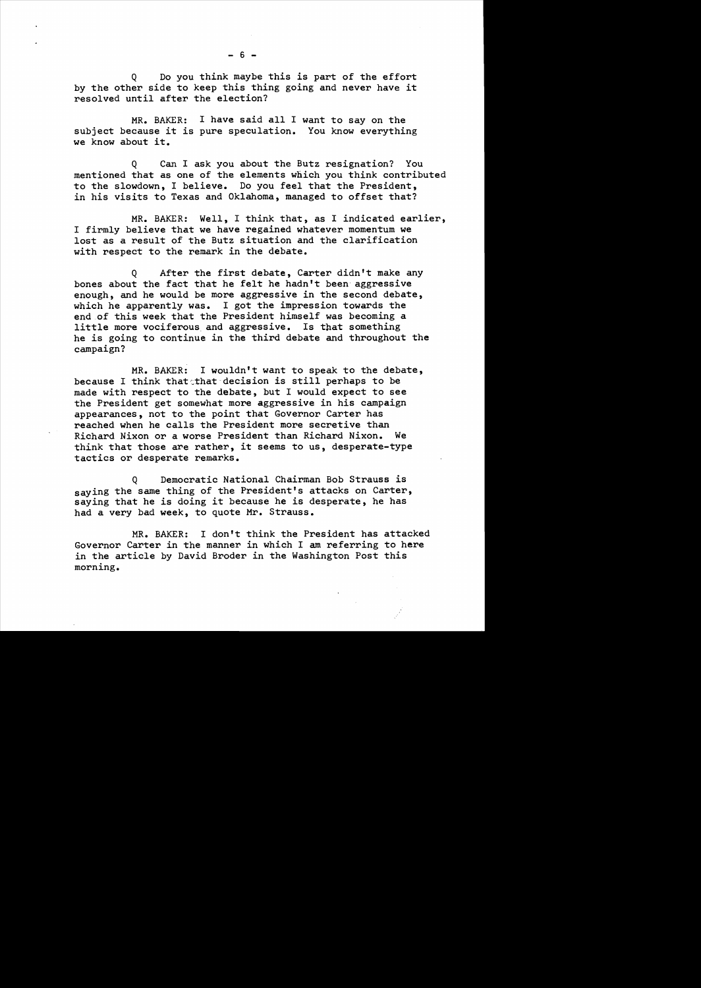Q Do you think maybe this is part of the effort by the other side to keep this thing going and never have it resolved until after the election?

MR. BAKER: I have said all I want to say on the subject because it is pure speculation. You know everything we know about it.

Q Can I ask you about the Butz resignation? You mentioned that as one of the elements which you think contributed to the slowdown, I believe. Do you feel that the President, in his visits to Texas and Oklahoma, managed to offset that?

MR. BAKER: Well, I think that, as I indicated earlier, I firmly believe that we have regained whatever momentum we lost as a result of the Butz situation and the clarification with respect to the remark in the debate.

Q After the first debate, Carter didn't make any bones about the fact that he felt he hadn't been aggressive enough, and he would be more aggressive in the second debate, which he apparently was. I got the impression towards the end of this week that the President himself was becoming a little more vociferous and aggressive. Is that something he is going to continue in the third debate and throughout the campaign?

MR. BAKER: I wouldn't want to speak to the debate, because I think that that decision is still perhaps to be made with respect to the debate, but I would expect to see the President get somewhat more aggressive in his campaign appearances, not to the point that Governor Carter has reached when he calls the President more secretive than Richard Nixon or a worse President than Richard Nixon. We think that those are rather, it seems to us, desperate-type tactics or desperate remarks.

Q Democratic National Chairman Bob Strauss is saying the same thing of the President's attacks on Carter, saying that he is doing it because he is desperate, he has had a very bad week, to quote Mr. Strauss.

MR. BAKER: I don't think the President has attacked Governor Carter in the manner in which I am referring to here in the article by David Broder in the Washington Post this morning.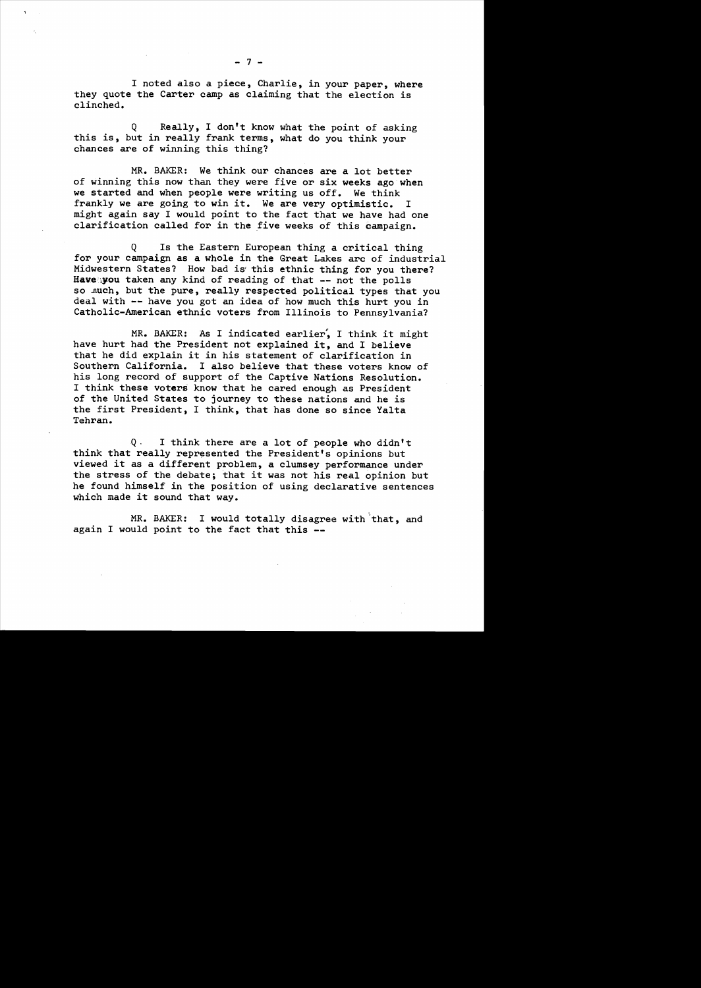I noted also a piece, Charlie, in your paper, where they quote the Carter camp as claiming that the election is clinched.

Q Really, I don't know what the point of asking this is, but in really frank terms, what do you think your chances are of winning this thing?

MR. BAKER: We think our chances are a lot better of winning this now than they were five or six weeks ago when we started and when people were writing us off. We think frankly we are going to win it. We are very optimistic. I might again say I would point to the fact that we have had one clarification called for in the five weeks of this campaign.

Q Is the Eastern European thing a critical thing for your campaign as a whole in the Great Lakes arc of industrial Midwestern States? How bad is' this ethnic thing for you there? Have**you taken any kind of reading of that --** not the polls so .nuch, but the pure, really respected political types that you deal with **--** have you got an idea of how much this hurt you in Catholic-American ethnic voters from Illinois to Pennsylvania?

MR. BAKER: As I indicated earlier, I think it might have hurt had the President not explained it, and I believe that he did explain it in his statement of clarification in Southern California. I also believe that these voters know of his long record of support of the Captive Nations Resolution. I think these voters know that he cared enough as President of the United States to journey to these nations and he is the first President, I think, that has done so since Yalta Tehran.

Q . I think there are a lot of people who didn't think that really represented the President's opinions but viewed it as a different problem, a clumsey performance under the stress of the debate; that it was not his real opinion but he found himself in the position of using declarative sentences which made it sound that way.

MR. BAKER: I would totally disagree with that, and again I would point to the fact that this **-**